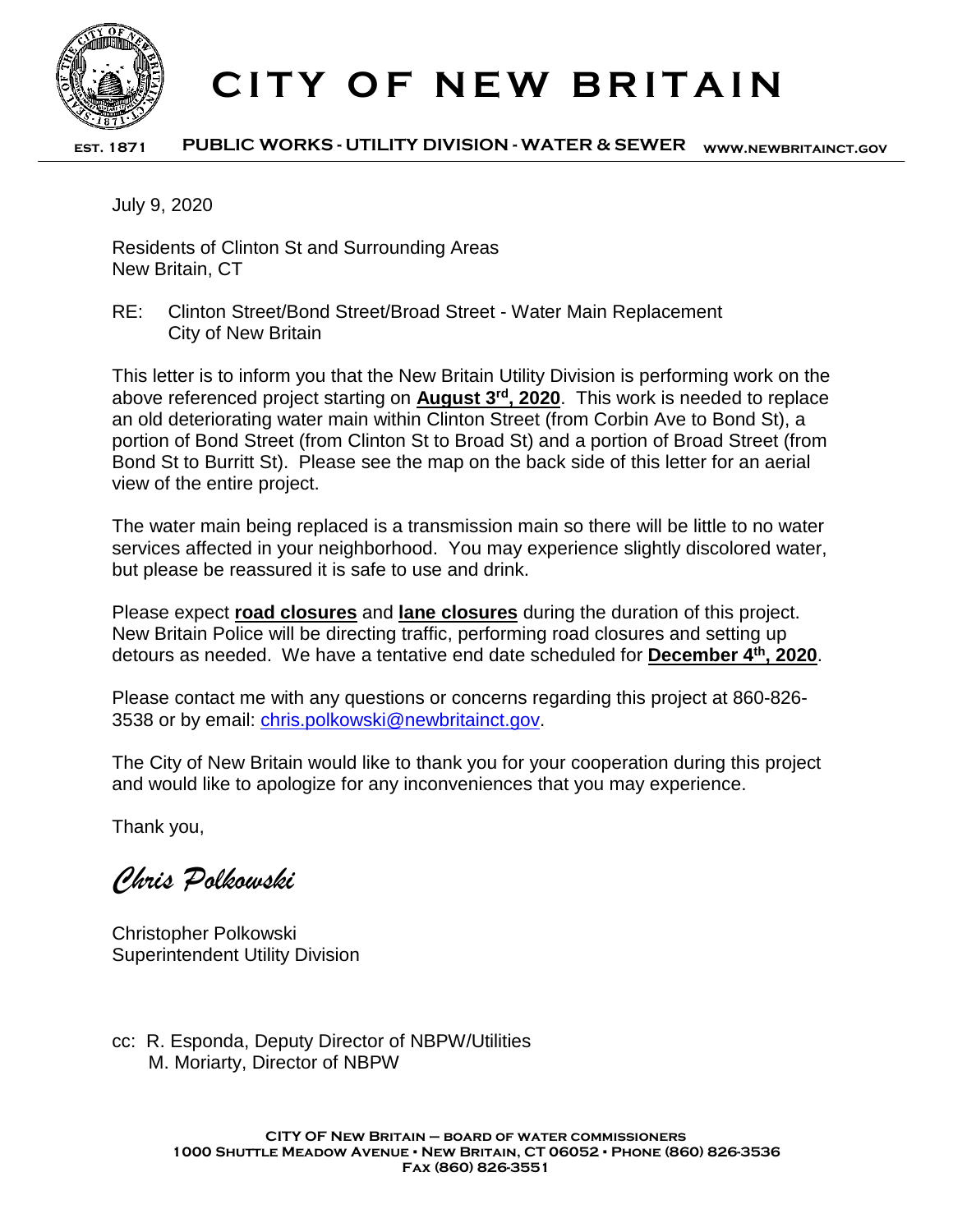

## **CITY OF NEW BRITAIN**

**est. 1871 PUBLIC WORKS - UTILITY DIVISION - WATER & SEWER www.newbritainct.gov**

July 9, 2020

Residents of Clinton St and Surrounding Areas New Britain, CT

RE: Clinton Street/Bond Street/Broad Street - Water Main Replacement City of New Britain

This letter is to inform you that the New Britain Utility Division is performing work on the above referenced project starting on **August 3rd, 2020**. This work is needed to replace an old deteriorating water main within Clinton Street (from Corbin Ave to Bond St), a portion of Bond Street (from Clinton St to Broad St) and a portion of Broad Street (from Bond St to Burritt St). Please see the map on the back side of this letter for an aerial view of the entire project.

The water main being replaced is a transmission main so there will be little to no water services affected in your neighborhood. You may experience slightly discolored water, but please be reassured it is safe to use and drink.

Please expect **road closures** and **lane closures** during the duration of this project. New Britain Police will be directing traffic, performing road closures and setting up detours as needed. We have a tentative end date scheduled for **December 4th, 2020**.

Please contact me with any questions or concerns regarding this project at 860-826- 3538 or by email: [chris.polkowski@newbritainct.gov.](mailto:chris.polkowski@newbritainct.gov)

The City of New Britain would like to thank you for your cooperation during this project and would like to apologize for any inconveniences that you may experience.

Thank you,

*Chris Polkowski*

Christopher Polkowski Superintendent Utility Division

cc: R. Esponda, Deputy Director of NBPW/Utilities M. Moriarty, Director of NBPW